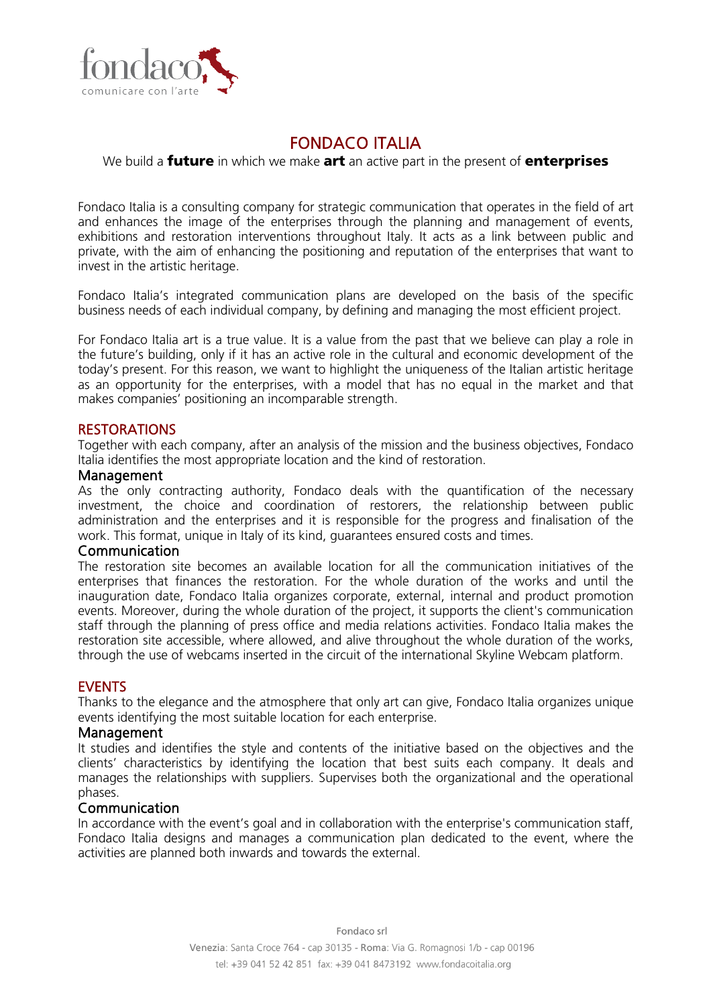

# FONDACO ITALIA

#### We build a **future** in which we make art an active part in the present of **enterprises**

Fondaco Italia is a consulting company for strategic communication that operates in the field of art and enhances the image of the enterprises through the planning and management of events, exhibitions and restoration interventions throughout Italy. It acts as a link between public and private, with the aim of enhancing the positioning and reputation of the enterprises that want to invest in the artistic heritage.

Fondaco Italia's integrated communication plans are developed on the basis of the specific business needs of each individual company, by defining and managing the most efficient project.

For Fondaco Italia art is a true value. It is a value from the past that we believe can play a role in the future's building, only if it has an active role in the cultural and economic development of the today's present. For this reason, we want to highlight the uniqueness of the Italian artistic heritage as an opportunity for the enterprises, with a model that has no equal in the market and that makes companies' positioning an incomparable strength.

## **RESTORATIONS**

Together with each company, after an analysis of the mission and the business objectives, Fondaco Italia identifies the most appropriate location and the kind of restoration.

#### Management

As the only contracting authority, Fondaco deals with the quantification of the necessary investment, the choice and coordination of restorers, the relationship between public administration and the enterprises and it is responsible for the progress and finalisation of the work. This format, unique in Italy of its kind, guarantees ensured costs and times.

#### Communication

The restoration site becomes an available location for all the communication initiatives of the enterprises that finances the restoration. For the whole duration of the works and until the inauguration date, Fondaco Italia organizes corporate, external, internal and product promotion events. Moreover, during the whole duration of the project, it supports the client's communication staff through the planning of press office and media relations activities. Fondaco Italia makes the restoration site accessible, where allowed, and alive throughout the whole duration of the works, through the use of webcams inserted in the circuit of the international Skyline Webcam platform.

## EVENTS

Thanks to the elegance and the atmosphere that only art can give, Fondaco Italia organizes unique events identifying the most suitable location for each enterprise.

#### Management

It studies and identifies the style and contents of the initiative based on the objectives and the clients' characteristics by identifying the location that best suits each company. It deals and manages the relationships with suppliers. Supervises both the organizational and the operational phases.

#### Communication

In accordance with the event's goal and in collaboration with the enterprise's communication staff, Fondaco Italia designs and manages a communication plan dedicated to the event, where the activities are planned both inwards and towards the external.